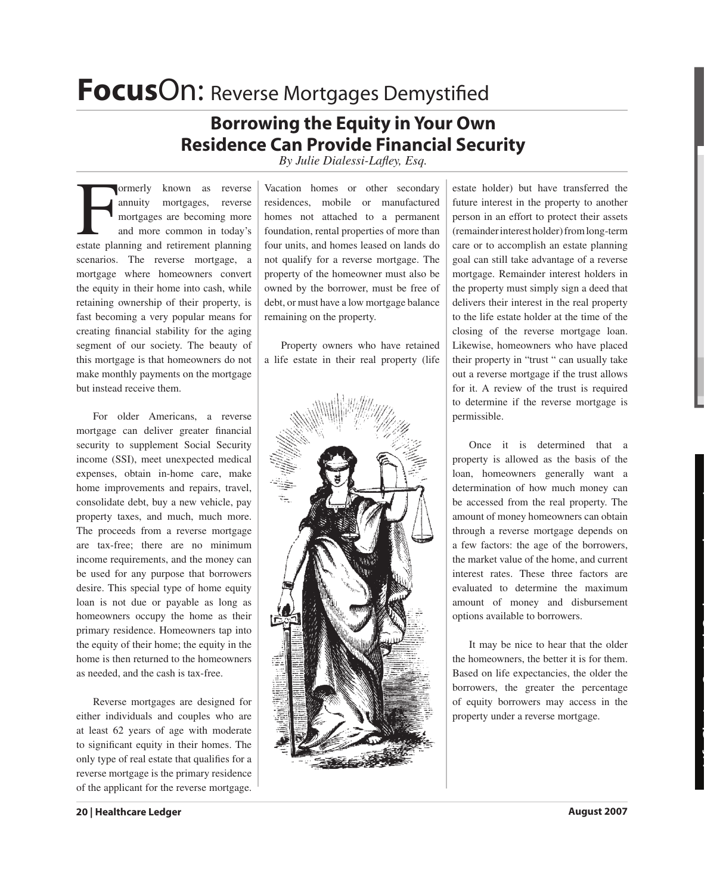## **FocusOn: Reverse Mortgages Demystified**

## **Borrowing the Equity in Your Own Residence Can Provide Financial Security**

*By Julie Dialessi-Lafley, Esq.* 

Formerly known as reverse<br>
annuity mortgages, reverse<br>
mortgages are becoming more<br>
and more common in today's<br>
estate planning and retirement planning ormerly known as reverse annuity mortgages, reverse mortgages are becoming more and more common in today's scenarios. The reverse mortgage, a mortgage where homeowners convert the equity in their home into cash, while retaining ownership of their property, is fast becoming a very popular means for creating financial stability for the aging segment of our society. The beauty of this mortgage is that homeowners do not make monthly payments on the mortgage but instead receive them.

 For older Americans, a reverse mortgage can deliver greater financial security to supplement Social Security income (SSI), meet unexpected medical expenses, obtain in-home care, make home improvements and repairs, travel, consolidate debt, buy a new vehicle, pay property taxes, and much, much more. The proceeds from a reverse mortgage are tax-free; there are no minimum income requirements, and the money can be used for any purpose that borrowers desire. This special type of home equity loan is not due or payable as long as homeowners occupy the home as their primary residence. Homeowners tap into the equity of their home; the equity in the home is then returned to the homeowners as needed, and the cash is tax-free.

 Reverse mortgages are designed for either individuals and couples who are at least 62 years of age with moderate to significant equity in their homes. The only type of real estate that qualifies for a reverse mortgage is the primary residence of the applicant for the reverse mortgage.

Vacation homes or other secondary residences, mobile or manufactured homes not attached to a permanent foundation, rental properties of more than four units, and homes leased on lands do not qualify for a reverse mortgage. The property of the homeowner must also be owned by the borrower, must be free of debt, or must have a low mortgage balance remaining on the property.

 Property owners who have retained a life estate in their real property (life



estate holder) but have transferred the future interest in the property to another person in an effort to protect their assets (remainder interest holder) from long-term care or to accomplish an estate planning goal can still take advantage of a reverse mortgage. Remainder interest holders in the property must simply sign a deed that delivers their interest in the real property to the life estate holder at the time of the closing of the reverse mortgage loan. Likewise, homeowners who have placed their property in "trust " can usually take out a reverse mortgage if the trust allows for it. A review of the trust is required to determine if the reverse mortgage is permissible.

 Once it is determined that a property is allowed as the basis of the loan, homeowners generally want a determination of how much money can be accessed from the real property. The amount of money homeowners can obtain through a reverse mortgage depends on a few factors: the age of the borrowers, the market value of the home, and current interest rates. These three factors are evaluated to determine the maximum amount of money and disbursement options available to borrowers.

 It may be nice to hear that the older the homeowners, the better it is for them. Based on life expectancies, the older the borrowers, the greater the percentage of equity borrowers may access in the property under a reverse mortgage.